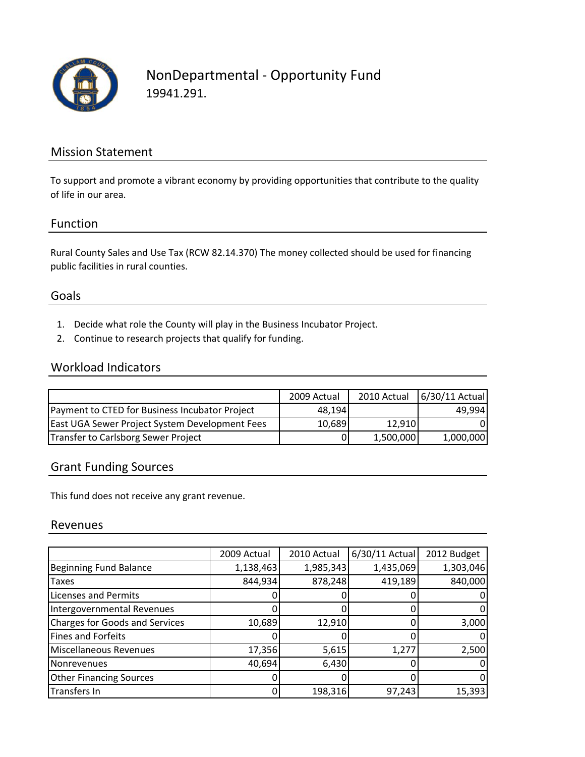

# NonDepartmental ‐ Opportunity Fund 19941.291.

### Mission Statement

To support and promote a vibrant economy by providing opportunities that contribute to the quality of life in our area.

#### Function

Rural County Sales and Use Tax (RCW 82.14.370) The money collected should be used for financing public facilities in rural counties.

#### Goals

- 1. Decide what role the County will play in the Business Incubator Project.
- 2. Continue to research projects that qualify for funding.

#### Workload Indicators

|                                                | 2009 Actual | 2010 Actual | 6/30/11 Actual |
|------------------------------------------------|-------------|-------------|----------------|
| Payment to CTED for Business Incubator Project | 48.194      |             | 49.994         |
| East UGA Sewer Project System Development Fees | 10,689      | 12.910      | 0              |
| Transfer to Carlsborg Sewer Project            | 0           | 1,500,000   | 1,000,000      |

### Grant Funding Sources

This fund does not receive any grant revenue.

#### Revenues

|                                       | 2009 Actual | 2010 Actual | 6/30/11 Actual | 2012 Budget |
|---------------------------------------|-------------|-------------|----------------|-------------|
| Beginning Fund Balance                | 1,138,463   | 1,985,343   | 1,435,069      | 1,303,046   |
| Taxes                                 | 844,934     | 878,248     | 419,189        | 840,000     |
| <b>Licenses and Permits</b>           |             |             |                |             |
| Intergovernmental Revenues            |             |             |                |             |
| <b>Charges for Goods and Services</b> | 10,689      | 12,910      |                | 3,000       |
| <b>Fines and Forfeits</b>             |             |             |                |             |
| <b>Miscellaneous Revenues</b>         | 17,356      | 5,615       | 1,277          | 2,500       |
| Nonrevenues                           | 40,694      | 6,430       |                |             |
| <b>Other Financing Sources</b>        |             |             |                |             |
| Transfers In                          |             | 198,316     | 97,243         | 15,393      |